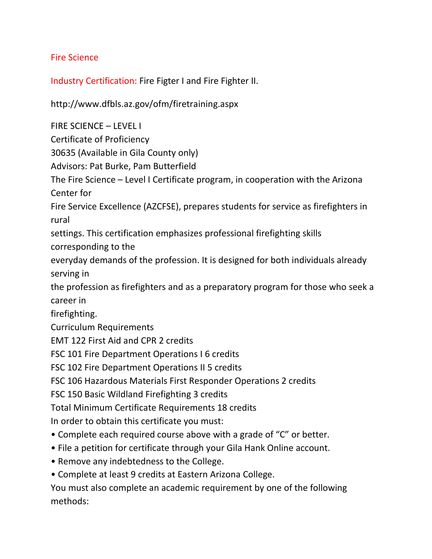## Fire Science

Industry Certification: Fire Figter I and Fire Fighter II.

<http://www.dfbls.az.gov/ofm/firetraining.aspx>

FIRE SCIENCE – LEVEL I

Certificate of Proficiency

30635 (Available in Gila County only)

Advisors: Pat Burke, Pam Butterfield

The Fire Science – Level I Certificate program, in cooperation with the Arizona Center for

Fire Service Excellence (AZCFSE), prepares students for service as firefighters in rural

settings. This certification emphasizes professional firefighting skills corresponding to the

everyday demands of the profession. It is designed for both individuals already serving in

the profession as firefighters and as a preparatory program for those who seek a career in

firefighting.

Curriculum Requirements

EMT 122 First Aid and CPR 2 credits

FSC 101 Fire Department Operations I 6 credits

FSC 102 Fire Department Operations II 5 credits

FSC 106 Hazardous Materials First Responder Operations 2 credits

FSC 150 Basic Wildland Firefighting 3 credits

Total Minimum Certificate Requirements 18 credits

In order to obtain this certificate you must:

- Complete each required course above with a grade of "C" or better.
- File a petition for certificate through your Gila Hank Online account.
- Remove any indebtedness to the College.
- Complete at least 9 credits at Eastern Arizona College.

You must also complete an academic requirement by one of the following methods: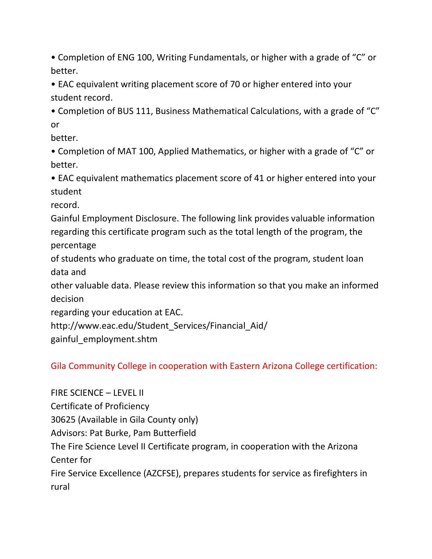• Completion of ENG 100, Writing Fundamentals, or higher with a grade of "C" or better.

• EAC equivalent writing placement score of 70 or higher entered into your student record.

• Completion of BUS 111, Business Mathematical Calculations, with a grade of "C" or

better.

• Completion of MAT 100, Applied Mathematics, or higher with a grade of "C" or better.

• EAC equivalent mathematics placement score of 41 or higher entered into your student

record.

Gainful Employment Disclosure. The following link provides valuable information regarding this certificate program such as the total length of the program, the percentage

of students who graduate on time, the total cost of the program, student loan data and

other valuable data. Please review this information so that you make an informed decision

regarding your education at EAC.

http://www.eac.edu/Student Services/Financial Aid/

gainful\_employment.shtm

Gila Community College in cooperation with Eastern Arizona College certification:

FIRE SCIENCE – LEVEL II Certificate of Proficiency 30625 (Available in Gila County only) Advisors: Pat Burke, Pam Butterfield The Fire Science Level II Certificate program, in cooperation with the Arizona Center for Fire Service Excellence (AZCFSE), prepares students for service as firefighters in rural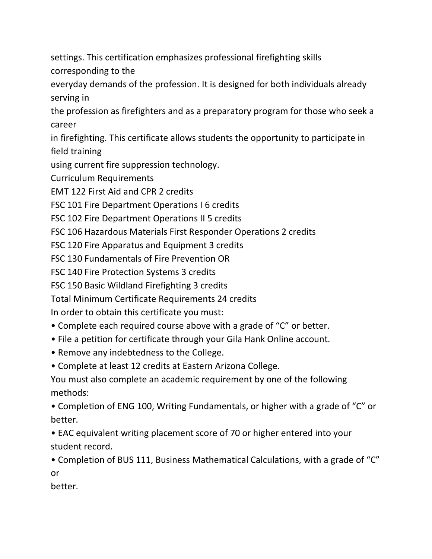settings. This certification emphasizes professional firefighting skills corresponding to the

everyday demands of the profession. It is designed for both individuals already serving in

the profession as firefighters and as a preparatory program for those who seek a career

in firefighting. This certificate allows students the opportunity to participate in field training

using current fire suppression technology.

Curriculum Requirements

EMT 122 First Aid and CPR 2 credits

FSC 101 Fire Department Operations I 6 credits

FSC 102 Fire Department Operations II 5 credits

FSC 106 Hazardous Materials First Responder Operations 2 credits

FSC 120 Fire Apparatus and Equipment 3 credits

FSC 130 Fundamentals of Fire Prevention OR

FSC 140 Fire Protection Systems 3 credits

FSC 150 Basic Wildland Firefighting 3 credits

Total Minimum Certificate Requirements 24 credits

In order to obtain this certificate you must:

- Complete each required course above with a grade of "C" or better.
- File a petition for certificate through your Gila Hank Online account.
- Remove any indebtedness to the College.
- Complete at least 12 credits at Eastern Arizona College.

You must also complete an academic requirement by one of the following methods:

• Completion of ENG 100, Writing Fundamentals, or higher with a grade of "C" or better.

• EAC equivalent writing placement score of 70 or higher entered into your student record.

• Completion of BUS 111, Business Mathematical Calculations, with a grade of "C" or

better.